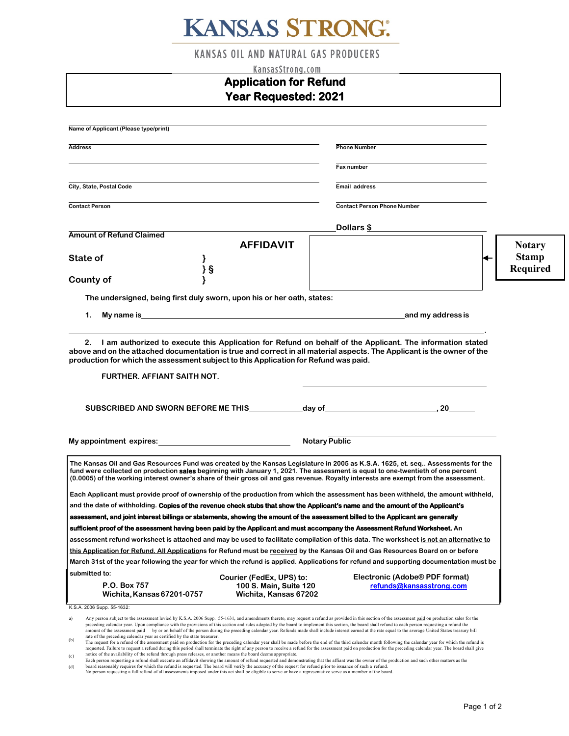# **KANSAS STRONG:**

**KANSAS OIL AND NATURAL GAS PRODUCERS** 

| KansasStrong.com                                                                                                                                                                                                               |                                                 |                                                                                                                                                                                                                                                                                                                                                                                                                                                                                                                                                                                                                          |                 |  |
|--------------------------------------------------------------------------------------------------------------------------------------------------------------------------------------------------------------------------------|-------------------------------------------------|--------------------------------------------------------------------------------------------------------------------------------------------------------------------------------------------------------------------------------------------------------------------------------------------------------------------------------------------------------------------------------------------------------------------------------------------------------------------------------------------------------------------------------------------------------------------------------------------------------------------------|-----------------|--|
| <b>Application for Refund</b>                                                                                                                                                                                                  |                                                 |                                                                                                                                                                                                                                                                                                                                                                                                                                                                                                                                                                                                                          |                 |  |
|                                                                                                                                                                                                                                | <b>Year Requested: 2021</b>                     |                                                                                                                                                                                                                                                                                                                                                                                                                                                                                                                                                                                                                          |                 |  |
|                                                                                                                                                                                                                                |                                                 |                                                                                                                                                                                                                                                                                                                                                                                                                                                                                                                                                                                                                          |                 |  |
| Name of Applicant (Please type/print)                                                                                                                                                                                          |                                                 |                                                                                                                                                                                                                                                                                                                                                                                                                                                                                                                                                                                                                          |                 |  |
| <b>Address</b>                                                                                                                                                                                                                 |                                                 | <b>Phone Number</b>                                                                                                                                                                                                                                                                                                                                                                                                                                                                                                                                                                                                      |                 |  |
|                                                                                                                                                                                                                                |                                                 | Fax number                                                                                                                                                                                                                                                                                                                                                                                                                                                                                                                                                                                                               |                 |  |
| City, State, Postal Code                                                                                                                                                                                                       |                                                 | Email address                                                                                                                                                                                                                                                                                                                                                                                                                                                                                                                                                                                                            |                 |  |
| <b>Contact Person</b>                                                                                                                                                                                                          |                                                 | <b>Contact Person Phone Number</b>                                                                                                                                                                                                                                                                                                                                                                                                                                                                                                                                                                                       |                 |  |
|                                                                                                                                                                                                                                |                                                 | Dollars $$$                                                                                                                                                                                                                                                                                                                                                                                                                                                                                                                                                                                                              |                 |  |
| <b>Amount of Refund Claimed</b>                                                                                                                                                                                                | <b>AFFIDAVIT</b>                                |                                                                                                                                                                                                                                                                                                                                                                                                                                                                                                                                                                                                                          | <b>Notary</b>   |  |
| State of                                                                                                                                                                                                                       |                                                 |                                                                                                                                                                                                                                                                                                                                                                                                                                                                                                                                                                                                                          | <b>Stamp</b>    |  |
| }§                                                                                                                                                                                                                             |                                                 |                                                                                                                                                                                                                                                                                                                                                                                                                                                                                                                                                                                                                          | <b>Required</b> |  |
| <b>County of</b>                                                                                                                                                                                                               |                                                 |                                                                                                                                                                                                                                                                                                                                                                                                                                                                                                                                                                                                                          |                 |  |
| The undersigned, being first duly sworn, upon his or her oath, states:                                                                                                                                                         |                                                 |                                                                                                                                                                                                                                                                                                                                                                                                                                                                                                                                                                                                                          |                 |  |
| My name is experience of the state of the state of the state of the state of the state of the state of the state of the state of the state of the state of the state of the state of the state of the state of the state of th |                                                 |                                                                                                                                                                                                                                                                                                                                                                                                                                                                                                                                                                                                                          |                 |  |
| 1.                                                                                                                                                                                                                             |                                                 | and my address is                                                                                                                                                                                                                                                                                                                                                                                                                                                                                                                                                                                                        |                 |  |
| production for which the assessment subject to this Application for Refund was paid.<br>FURTHER, AFFIANT SAITH NOT.                                                                                                            |                                                 |                                                                                                                                                                                                                                                                                                                                                                                                                                                                                                                                                                                                                          |                 |  |
|                                                                                                                                                                                                                                |                                                 |                                                                                                                                                                                                                                                                                                                                                                                                                                                                                                                                                                                                                          |                 |  |
|                                                                                                                                                                                                                                |                                                 | <b>Notary Public</b>                                                                                                                                                                                                                                                                                                                                                                                                                                                                                                                                                                                                     |                 |  |
|                                                                                                                                                                                                                                |                                                 | The Kansas Oil and Gas Resources Fund was created by the Kansas Legislature in 2005 as K.S.A. 1625, et. seq Assessments for the<br>fund were collected on production <b>sales</b> beginning with January 1, 2021. The assessment is equal to one-twentieth of one percent<br>(0.0005) of the working interest owner's share of their gross oil and gas revenue. Royalty interests are exempt from the assessment.                                                                                                                                                                                                        |                 |  |
|                                                                                                                                                                                                                                |                                                 | Each Applicant must provide proof of ownership of the production from which the assessment has been withheld, the amount withheld,                                                                                                                                                                                                                                                                                                                                                                                                                                                                                       |                 |  |
|                                                                                                                                                                                                                                |                                                 | and the date of withholding. Copies of the revenue check stubs that show the Applicant's name and the amount of the Applicant's                                                                                                                                                                                                                                                                                                                                                                                                                                                                                          |                 |  |
|                                                                                                                                                                                                                                |                                                 | assessment, and joint interest billings or statements, showing the amount of the assessment billed to the Applicant are generally                                                                                                                                                                                                                                                                                                                                                                                                                                                                                        |                 |  |
|                                                                                                                                                                                                                                |                                                 | sufficient proof of the assessment having been paid by the Applicant and must accompany the Assessment Refund Worksheet. An                                                                                                                                                                                                                                                                                                                                                                                                                                                                                              |                 |  |
|                                                                                                                                                                                                                                |                                                 | assessment refund worksheet is attached and may be used to facilitate compilation of this data. The worksheet is not an alternative to                                                                                                                                                                                                                                                                                                                                                                                                                                                                                   |                 |  |
|                                                                                                                                                                                                                                |                                                 | this Application for Refund. All Applications for Refund must be received by the Kansas Oil and Gas Resources Board on or before                                                                                                                                                                                                                                                                                                                                                                                                                                                                                         |                 |  |
|                                                                                                                                                                                                                                |                                                 | March 31st of the year following the year for which the refund is applied. Applications for refund and supporting documentation must be                                                                                                                                                                                                                                                                                                                                                                                                                                                                                  |                 |  |
| submitted to:                                                                                                                                                                                                                  | Courier (FedEx, UPS) to:                        | Electronic (Adobe <sup>®</sup> PDF format)                                                                                                                                                                                                                                                                                                                                                                                                                                                                                                                                                                               |                 |  |
| P.O. Box 757<br>Wichita, Kansas 67201-0757                                                                                                                                                                                     | 100 S. Main, Suite 120<br>Wichita, Kansas 67202 | refunds@kansasstrong.com                                                                                                                                                                                                                                                                                                                                                                                                                                                                                                                                                                                                 |                 |  |
| K.S.A. 2006 Supp. 55-1632:                                                                                                                                                                                                     |                                                 |                                                                                                                                                                                                                                                                                                                                                                                                                                                                                                                                                                                                                          |                 |  |
| a)                                                                                                                                                                                                                             |                                                 | Any person subject to the assessment levied by K.S.A. 2006 Supp. 55-1631, and amendments thereto, may request a refund as provided in this section of the assessment paid on production sales for the<br>preceding calendar year. Upon compliance with the provisions of this section and rules adopted by the board to implement this section, the board shall refund to each person requesting a refund the<br>amount of the assessment paid by or on behalf of the person during the preceding calendar year. Refunds made shall include interest earned at the rate equal to the average United States treasury bill |                 |  |

<sup>(</sup>b) amount of the assessment paid by or on behalf of the person during the preceding calendar year. Refunds made shall include interest carned at the rate equal to the average United States treasury bill<br>tate of the preceding

<sup>(</sup>c) (d)